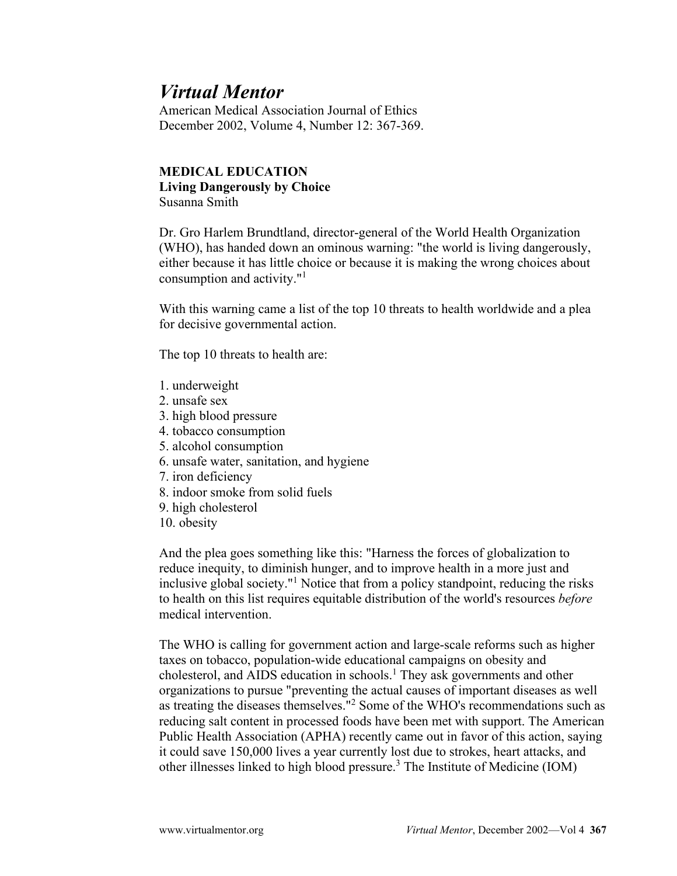## *Virtual Mentor*

American Medical Association Journal of Ethics December 2002, Volume 4, Number 12: 367-369.

## **MEDICAL EDUCATION Living Dangerously by Choice** Susanna Smith

Dr. Gro Harlem Brundtland, director-general of the World Health Organization (WHO), has handed down an ominous warning: "the world is living dangerously, either because it has little choice or because it is making the wrong choices about consumption and activity."<sup>1</sup>

With this warning came a list of the top 10 threats to health worldwide and a plea for decisive governmental action.

The top 10 threats to health are:

- 1. underweight
- 2. unsafe sex
- 3. high blood pressure
- 4. tobacco consumption
- 5. alcohol consumption
- 6. unsafe water, sanitation, and hygiene
- 7. iron deficiency
- 8. indoor smoke from solid fuels
- 9. high cholesterol
- 10. obesity

And the plea goes something like this: "Harness the forces of globalization to reduce inequity, to diminish hunger, and to improve health in a more just and inclusive global society."<sup>1</sup> Notice that from a policy standpoint, reducing the risks to health on this list requires equitable distribution of the world's resources *before* medical intervention.

The WHO is calling for government action and large-scale reforms such as higher taxes on tobacco, population-wide educational campaigns on obesity and cholesterol, and AIDS education in schools.<sup>1</sup> They ask governments and other organizations to pursue "preventing the actual causes of important diseases as well as treating the diseases themselves."<sup>2</sup> Some of the WHO's recommendations such as reducing salt content in processed foods have been met with support. The American Public Health Association (APHA) recently came out in favor of this action, saying it could save 150,000 lives a year currently lost due to strokes, heart attacks, and other illnesses linked to high blood pressure.<sup>3</sup> The Institute of Medicine (IOM)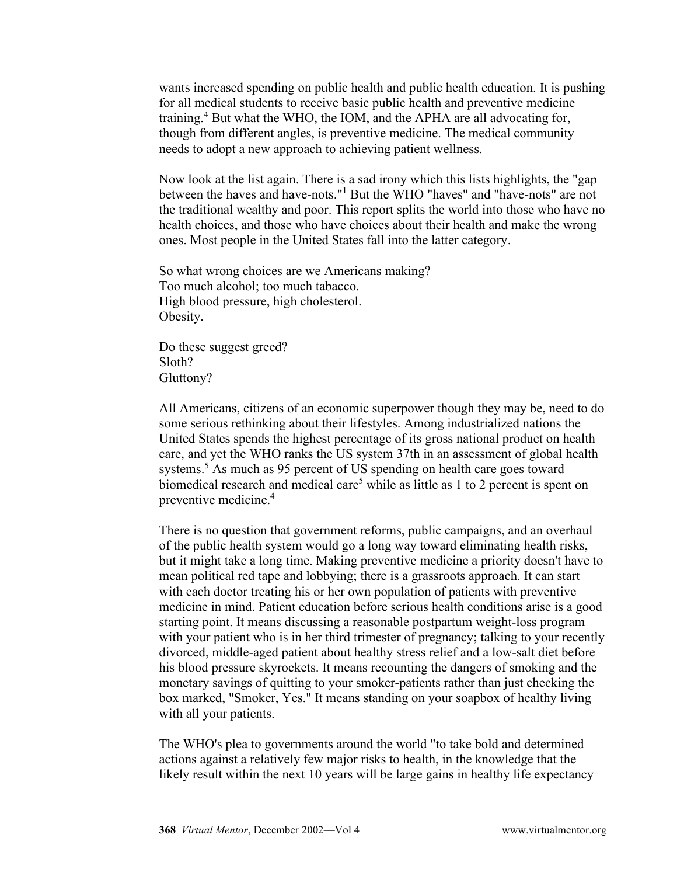wants increased spending on public health and public health education. It is pushing for all medical students to receive basic public health and preventive medicine training.<sup>4</sup> But what the WHO, the IOM, and the APHA are all advocating for, though from different angles, is preventive medicine. The medical community needs to adopt a new approach to achieving patient wellness.

Now look at the list again. There is a sad irony which this lists highlights, the "gap between the haves and have-nots."<sup>1</sup> But the WHO "haves" and "have-nots" are not the traditional wealthy and poor. This report splits the world into those who have no health choices, and those who have choices about their health and make the wrong ones. Most people in the United States fall into the latter category.

So what wrong choices are we Americans making? Too much alcohol; too much tabacco. High blood pressure, high cholesterol. Obesity.

Do these suggest greed? Sloth? Gluttony?

All Americans, citizens of an economic superpower though they may be, need to do some serious rethinking about their lifestyles. Among industrialized nations the United States spends the highest percentage of its gross national product on health care, and yet the WHO ranks the US system 37th in an assessment of global health systems.<sup>5</sup> As much as 95 percent of US spending on health care goes toward biomedical research and medical care<sup>5</sup> while as little as 1 to 2 percent is spent on preventive medicine.4

There is no question that government reforms, public campaigns, and an overhaul of the public health system would go a long way toward eliminating health risks, but it might take a long time. Making preventive medicine a priority doesn't have to mean political red tape and lobbying; there is a grassroots approach. It can start with each doctor treating his or her own population of patients with preventive medicine in mind. Patient education before serious health conditions arise is a good starting point. It means discussing a reasonable postpartum weight-loss program with your patient who is in her third trimester of pregnancy; talking to your recently divorced, middle-aged patient about healthy stress relief and a low-salt diet before his blood pressure skyrockets. It means recounting the dangers of smoking and the monetary savings of quitting to your smoker-patients rather than just checking the box marked, "Smoker, Yes." It means standing on your soapbox of healthy living with all your patients.

The WHO's plea to governments around the world "to take bold and determined actions against a relatively few major risks to health, in the knowledge that the likely result within the next 10 years will be large gains in healthy life expectancy